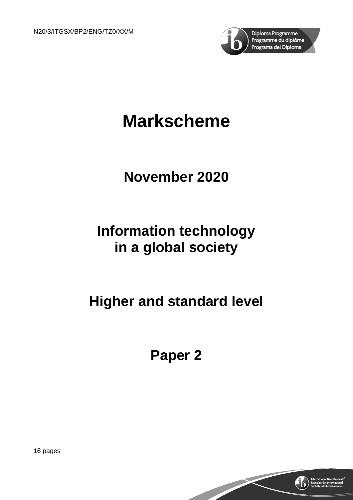

# **Markscheme**

## **November 2020**

## **Information technology in a global society**

## **Higher and standard level**

**Paper 2**

16 pages

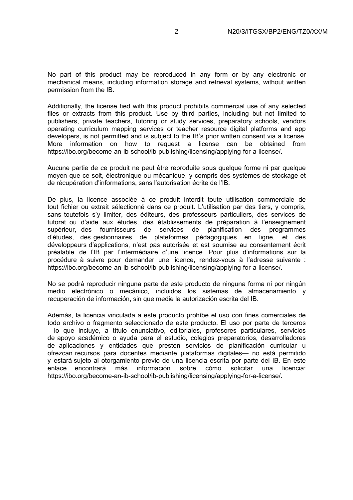No part of this product may be reproduced in any form or by any electronic or mechanical means, including information storage and retrieval systems, without written permission from the IB.

Additionally, the license tied with this product prohibits commercial use of any selected files or extracts from this product. Use by third parties, including but not limited to publishers, private teachers, tutoring or study services, preparatory schools, vendors operating curriculum mapping services or teacher resource digital platforms and app developers, is not permitted and is subject to the IB's prior written consent via a license. More information on how to request a license can be obtained from https://ibo.org/become-an-ib-school/ib-publishing/licensing/applying-for-a-license/.

Aucune partie de ce produit ne peut être reproduite sous quelque forme ni par quelque moyen que ce soit, électronique ou mécanique, y compris des systèmes de stockage et de récupération d'informations, sans l'autorisation écrite de l'IB.

De plus, la licence associée à ce produit interdit toute utilisation commerciale de tout fichier ou extrait sélectionné dans ce produit. L'utilisation par des tiers, y compris, sans toutefois s'y limiter, des éditeurs, des professeurs particuliers, des services de tutorat ou d'aide aux études, des établissements de préparation à l'enseignement supérieur, des fournisseurs de services de planification des programmes d'études, des gestionnaires de plateformes pédagogiques en ligne, et des développeurs d'applications, n'est pas autorisée et est soumise au consentement écrit préalable de l'IB par l'intermédiaire d'une licence. Pour plus d'informations sur la procédure à suivre pour demander une licence, rendez-vous à l'adresse suivante : https://ibo.org/become-an-ib-school/ib-publishing/licensing/applying-for-a-license/.

No se podrá reproducir ninguna parte de este producto de ninguna forma ni por ningún medio electrónico o mecánico, incluidos los sistemas de almacenamiento y recuperación de información, sin que medie la autorización escrita del IB.

Además, la licencia vinculada a este producto prohíbe el uso con fines comerciales de todo archivo o fragmento seleccionado de este producto. El uso por parte de terceros —lo que incluye, a título enunciativo, editoriales, profesores particulares, servicios de apoyo académico o ayuda para el estudio, colegios preparatorios, desarrolladores de aplicaciones y entidades que presten servicios de planificación curricular u ofrezcan recursos para docentes mediante plataformas digitales— no está permitido y estará sujeto al otorgamiento previo de una licencia escrita por parte del IB. En este<br>enlace encontrará más información sobre cómo solicitar una licencia: enlace encontrará más https://ibo.org/become-an-ib-school/ib-publishing/licensing/applying-for-a-license/.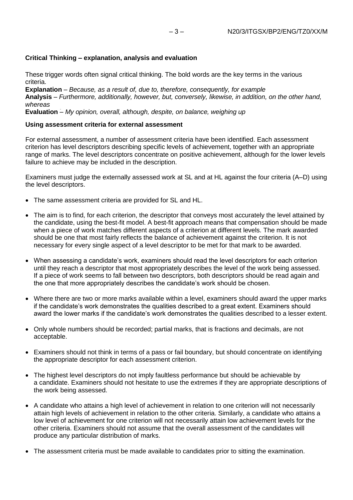#### **Critical Thinking – explanation, analysis and evaluation**

These trigger words often signal critical thinking. The bold words are the key terms in the various criteria.

**Explanation** – *Because, as a result of, due to, therefore, consequently, for example*

**Analysis** – *Furthermore, additionally, however, but, conversely, likewise, in addition, on the other hand, whereas*

**Evaluation** ؘ– *My opinion, overall, although, despite, on balance, weighing up*

#### **Using assessment criteria for external assessment**

For external assessment, a number of assessment criteria have been identified. Each assessment criterion has level descriptors describing specific levels of achievement, together with an appropriate range of marks. The level descriptors concentrate on positive achievement, although for the lower levels failure to achieve may be included in the description.

Examiners must judge the externally assessed work at SL and at HL against the four criteria (A–D) using the level descriptors.

- The same assessment criteria are provided for SL and HL.
- The aim is to find, for each criterion, the descriptor that conveys most accurately the level attained by the candidate, using the best-fit model. A best-fit approach means that compensation should be made when a piece of work matches different aspects of a criterion at different levels. The mark awarded should be one that most fairly reflects the balance of achievement against the criterion. It is not necessary for every single aspect of a level descriptor to be met for that mark to be awarded.
- When assessing a candidate's work, examiners should read the level descriptors for each criterion until they reach a descriptor that most appropriately describes the level of the work being assessed. If a piece of work seems to fall between two descriptors, both descriptors should be read again and the one that more appropriately describes the candidate's work should be chosen.
- Where there are two or more marks available within a level, examiners should award the upper marks if the candidate's work demonstrates the qualities described to a great extent. Examiners should award the lower marks if the candidate's work demonstrates the qualities described to a lesser extent.
- Only whole numbers should be recorded; partial marks, that is fractions and decimals, are not acceptable.
- Examiners should not think in terms of a pass or fail boundary, but should concentrate on identifying the appropriate descriptor for each assessment criterion.
- The highest level descriptors do not imply faultless performance but should be achievable by a candidate. Examiners should not hesitate to use the extremes if they are appropriate descriptions of the work being assessed.
- A candidate who attains a high level of achievement in relation to one criterion will not necessarily attain high levels of achievement in relation to the other criteria. Similarly, a candidate who attains a low level of achievement for one criterion will not necessarily attain low achievement levels for the other criteria. Examiners should not assume that the overall assessment of the candidates will produce any particular distribution of marks.
- The assessment criteria must be made available to candidates prior to sitting the examination.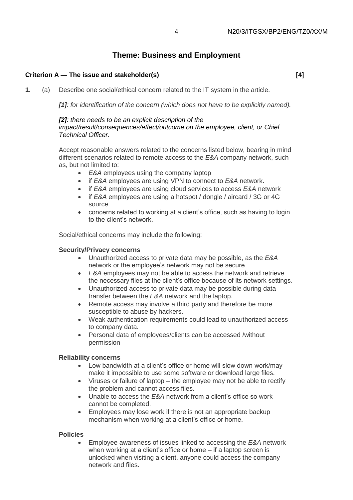## **Theme: Business and Employment**

#### **Criterion A — The issue and stakeholder(s) [4]**

**1.** (a) Describe one social/ethical concern related to the IT system in the article.

*[1]: for identification of the concern (which does not have to be explicitly named).*

#### *[2]: there needs to be an explicit description of the impact/result/consequences/effect/outcome on the employee, client, or Chief Technical Officer.*

Accept reasonable answers related to the concerns listed below, bearing in mind different scenarios related to remote access to the *E&A* company network, such as, but not limited to:

- *E&A* employees using the company laptop
- if *E&A* employees are using VPN to connect to *E&A* network.
- if *E&A* employees are using cloud services to access *E&A* network
- if *E&A* employees are using a hotspot / dongle / aircard / 3G or 4G source
- concerns related to working at a client's office, such as having to login to the client's network.

Social/ethical concerns may include the following:

#### **Security/Privacy concerns**

- Unauthorized access to private data may be possible, as the *E&A* network or the employee's network may not be secure.
- *E&A* employees may not be able to access the network and retrieve the necessary files at the client's office because of its network settings.
- Unauthorized access to private data may be possible during data transfer between the *E&A* network and the laptop.
- Remote access may involve a third party and therefore be more susceptible to abuse by hackers.
- Weak authentication requirements could lead to unauthorized access to company data.
- Personal data of employees/clients can be accessed /without permission

#### **Reliability concerns**

- Low bandwidth at a client's office or home will slow down work/may make it impossible to use some software or download large files.
- Viruses or failure of laptop the employee may not be able to rectify the problem and cannot access files.
- Unable to access the *E&A* network from a client's office so work cannot be completed.
- Employees may lose work if there is not an appropriate backup mechanism when working at a client's office or home.

#### **Policies**

• Employee awareness of issues linked to accessing the *E&A* network when working at a client's office or home – if a laptop screen is unlocked when visiting a client, anyone could access the company network and files.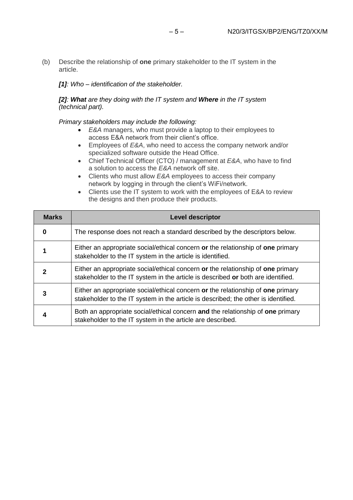(b) Describe the relationship of **one** primary stakeholder to the IT system in the article.

*[1]: Who – identification of the stakeholder.*

*[2]: What are they doing with the IT system and Where in the IT system (technical part).*

*Primary stakeholders may include the following:*

- *E&A* managers, who must provide a laptop to their employees to access E&A network from their client's office.
- Employees of *E&A*, who need to access the company network and/or specialized software outside the Head Office.
- Chief Technical Officer (CTO) / management at *E&A*, who have to find a solution to access the *E&A* network off site.
- Clients who must allow *E&A* employees to access their company network by logging in through the client's WiFi/network.
- Clients use the IT system to work with the employees of E&A to review the designs and then produce their products.

| <b>Marks</b> | <b>Level descriptor</b>                                                                                                                                               |
|--------------|-----------------------------------------------------------------------------------------------------------------------------------------------------------------------|
| 0            | The response does not reach a standard described by the descriptors below.                                                                                            |
|              | Either an appropriate social/ethical concern or the relationship of one primary<br>stakeholder to the IT system in the article is identified.                         |
| 2            | Either an appropriate social/ethical concern or the relationship of one primary<br>stakeholder to the IT system in the article is described or both are identified.   |
| 3            | Either an appropriate social/ethical concern or the relationship of one primary<br>stakeholder to the IT system in the article is described; the other is identified. |
| 4            | Both an appropriate social/ethical concern and the relationship of one primary<br>stakeholder to the IT system in the article are described.                          |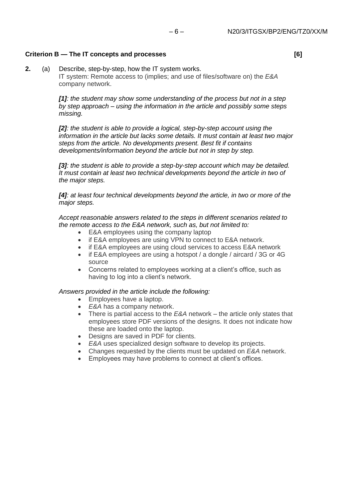## **Criterion B — The IT concepts and processes [6]**

**2.** (a) Describe, step-by-step, how the IT system works. IT system: Remote access to (implies; and use of files/software on) the *E&A* company network.

> *[1]: the student may show some understanding of the process but not in a step by step approach – using the information in the article and possibly some steps missing.*

*[2]: the student is able to provide a logical, step-by-step account using the information in the article but lacks some details. It must contain at least two major steps from the article. No developments present. Best fit if contains developments/information beyond the article but not in step by step.*

[3]: the student is able to provide a step-by-step account which may be detailed. *It must contain at least two technical developments beyond the article in two of the major steps.*

*[4]: at least four technical developments beyond the article, in two or more of the major steps.*

*Accept reasonable answers related to the steps in different scenarios related to the remote access to the E&A network, such as, but not limited to:*

- E&A employees using the company laptop
- if E&A employees are using VPN to connect to E&A network.
- if E&A employees are using cloud services to access E&A network
- if E&A employees are using a hotspot / a dongle / aircard / 3G or 4G source
- Concerns related to employees working at a client's office, such as having to log into a client's network.

#### *Answers provided in the article include the following:*

- Employees have a laptop.
- **E&A** has a company network.
- There is partial access to the *E&A* network the article only states that employees store PDF versions of the designs. It does not indicate how these are loaded onto the laptop.
- Designs are saved in PDF for clients.
- *E&A* uses specialized design software to develop its projects.
- Changes requested by the clients must be updated on *E&A* network.
- Employees may have problems to connect at client's offices.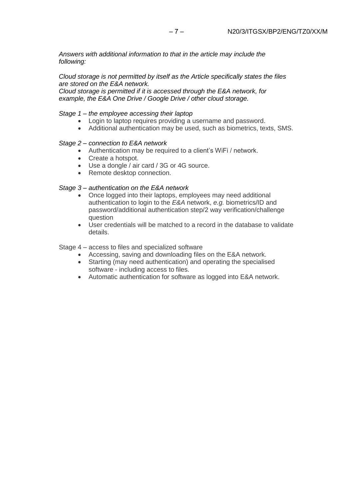*Answers with additional information to that in the article may include the following:*

*Cloud storage is not permitted by itself as the Article specifically states the files are stored on the E&A network.* 

*Cloud storage is permitted if it is accessed through the E&A network, for example, the E&A One Drive / Google Drive / other cloud storage.*

#### *Stage 1 – the employee accessing their laptop*

- Login to laptop requires providing a username and password.
- Additional authentication may be used, such as biometrics, texts, SMS.

#### *Stage 2 – connection to E&A network*

- Authentication may be required to a client's WiFi / network.
- Create a hotspot.
- Use a dongle / air card / 3G or 4G source.
- Remote desktop connection.

#### *Stage 3 – authentication on the E&A network*

- Once logged into their laptops, employees may need additional authentication to login to the *E&A* network, *e.g.* biometrics/ID and password/additional authentication step/2 way verification/challenge question
- User credentials will be matched to a record in the database to validate details.

Stage 4 – access to files and specialized software

- Accessing, saving and downloading files on the E&A network.
- Starting (may need authentication) and operating the specialised software - including access to files.
- Automatic authentication for software as logged into E&A network.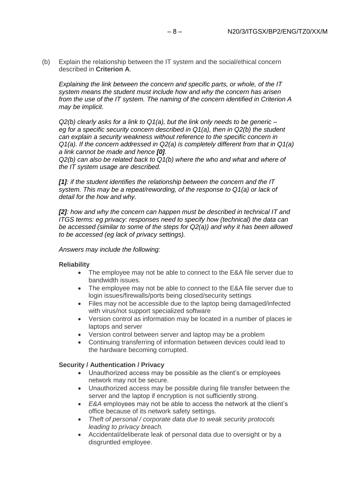(b) Explain the relationship between the IT system and the social/ethical concern described in **Criterion A**.

*Explaining the link between the concern and specific parts, or whole, of the IT system means the student must include how and why the concern has arisen from the use of the IT system. The naming of the concern identified in Criterion A may be implicit.*

*Q2(b) clearly asks for a link to Q1(a), but the link only needs to be generic – eg for a specific security concern described in Q1(a), then in Q2(b) the student can explain a security weakness without reference to the specific concern in Q1(a). If the concern addressed in Q2(a) is completely different from that in Q1(a) a link cannot be made and hence [0].*

*Q2(b) can also be related back to Q1(b) where the who and what and where of the IT system usage are described.*

*[1]: if the student identifies the relationship between the concern and the IT system. This may be a repeat/rewording, of the response to Q1(a) or lack of detail for the how and why.*

*[2]: how and why the concern can happen must be described in technical IT and ITGS terms: eg privacy: responses need to specify how (technical) the data can be accessed (similar to some of the steps for Q2(a)) and why it has been allowed to be accessed (eg lack of privacy settings).*

*Answers may include the following:*

#### **Reliability**

- The employee may not be able to connect to the E&A file server due to bandwidth issues.
- The employee may not be able to connect to the E&A file server due to login issues/firewalls/ports being closed/security settings
- Files may not be accessible due to the laptop being damaged/infected with virus/not support specialized software
- Version control as information may be located in a number of places ie laptops and server
- Version control between server and laptop may be a problem
- Continuing transferring of information between devices could lead to the hardware becoming corrupted.

#### **Security / Authentication / Privacy**

- Unauthorized access may be possible as the client's or employees network may not be secure.
- Unauthorized access may be possible during file transfer between the server and the laptop if encryption is not sufficiently strong.
- *E&A* employees may not be able to access the network at the client's office because of its network safety settings.
- *Theft of personal / corporate data due to weak security protocols leading to privacy breach.*
- Accidental/deliberate leak of personal data due to oversight or by a disgruntled employee.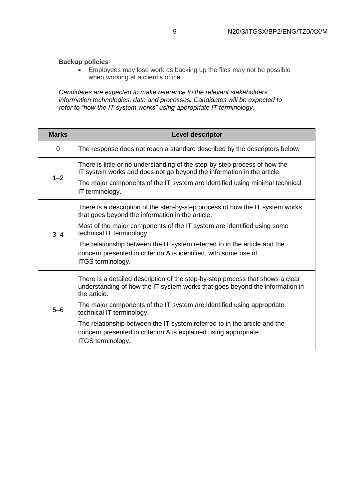#### **Backup policies**

• Employees may lose work as backing up the files may not be possible when working at a client's office.

*Candidates are expected to make reference to the relevant stakeholders, information technologies, data and processes. Candidates will be expected to refer to "how the IT system works" using appropriate IT terminology.*

| <b>Marks</b> | <b>Level descriptor</b>                                                                                                                                                        |
|--------------|--------------------------------------------------------------------------------------------------------------------------------------------------------------------------------|
| 0            | The response does not reach a standard described by the descriptors below.                                                                                                     |
| $1 - 2$      | There is little or no understanding of the step-by-step process of how the<br>IT system works and does not go beyond the information in the article.                           |
|              | The major components of the IT system are identified using minimal technical<br>IT terminology.                                                                                |
| $3 - 4$      | There is a description of the step-by-step process of how the IT system works<br>that goes beyond the information in the article.                                              |
|              | Most of the major components of the IT system are identified using some<br>technical IT terminology.                                                                           |
|              | The relationship between the IT system referred to in the article and the<br>concern presented in criterion A is identified, with some use of<br>ITGS terminology.             |
| $5 - 6$      | There is a detailed description of the step-by-step process that shows a clear<br>understanding of how the IT system works that goes beyond the information in<br>the article. |
|              | The major components of the IT system are identified using appropriate<br>technical IT terminology.                                                                            |
|              | The relationship between the IT system referred to in the article and the<br>concern presented in criterion A is explained using appropriate<br>ITGS terminology.              |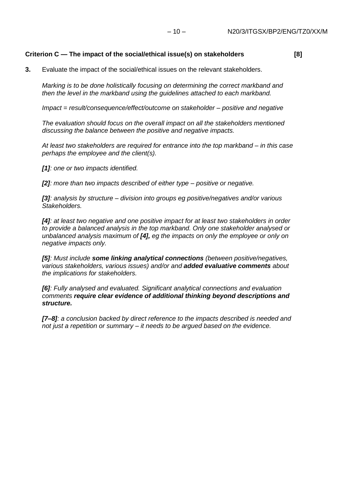## **Criterion C — The impact of the social/ethical issue(s) on stakeholders [8]**

**3.** Evaluate the impact of the social/ethical issues on the relevant stakeholders.

*Marking is to be done holistically focusing on determining the correct markband and then the level in the markband using the guidelines attached to each markband.*

*Impact = result/consequence/effect/outcome on stakeholder – positive and negative*

*The evaluation should focus on the overall impact on all the stakeholders mentioned discussing the balance between the positive and negative impacts.*

*At least two stakeholders are required for entrance into the top markband – in this case perhaps the employee and the client(s).*

*[1]: one or two impacts identified.*

*[2]: more than two impacts described of either type – positive or negative.*

*[3]: analysis by structure – division into groups eg positive/negatives and/or various Stakeholders.*

*[4]: at least two negative and one positive impact for at least two stakeholders in order to provide a balanced analysis in the top markband. Only one stakeholder analysed or unbalanced analysis maximum of [4], eg the impacts on only the employee or only on negative impacts only.*

*[5]: Must include some linking analytical connections (between positive/negatives, various stakeholders, various issues) and/or and added evaluative comments about the implications for stakeholders.*

*[6]: Fully analysed and evaluated. Significant analytical connections and evaluation comments require clear evidence of additional thinking beyond descriptions and structure.*

*[7–8]: a conclusion backed by direct reference to the impacts described is needed and not just a repetition or summary – it needs to be argued based on the evidence.*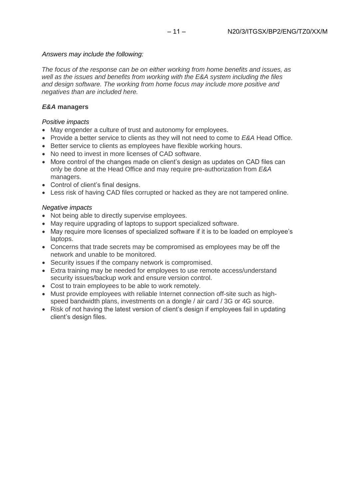#### *Answers may include the following:*

*The focus of the response can be on either working from home benefits and issues, as well as the issues and benefits from working with the E&A system including the files and design software. The working from home focus may include more positive and negatives than are included here.*

#### *E&A* **managers**

#### *Positive impacts*

- May engender a culture of trust and autonomy for employees.
- Provide a better service to clients as they will not need to come to *E&A* Head Office.
- Better service to clients as employees have flexible working hours.
- No need to invest in more licenses of CAD software.
- More control of the changes made on client's design as updates on CAD files can only be done at the Head Office and may require pre-authorization from *E&A* managers.
- Control of client's final designs.
- Less risk of having CAD files corrupted or hacked as they are not tampered online.

#### *Negative impacts*

- Not being able to directly supervise employees.
- May require upgrading of laptops to support specialized software.
- May require more licenses of specialized software if it is to be loaded on employee's laptops.
- Concerns that trade secrets may be compromised as employees may be off the network and unable to be monitored.
- Security issues if the company network is compromised.
- Extra training may be needed for employees to use remote access/understand security issues/backup work and ensure version control.
- Cost to train employees to be able to work remotely.
- Must provide employees with reliable Internet connection off-site such as highspeed bandwidth plans, investments on a dongle / air card / 3G or 4G source.
- Risk of not having the latest version of client's design if employees fail in updating client's design files.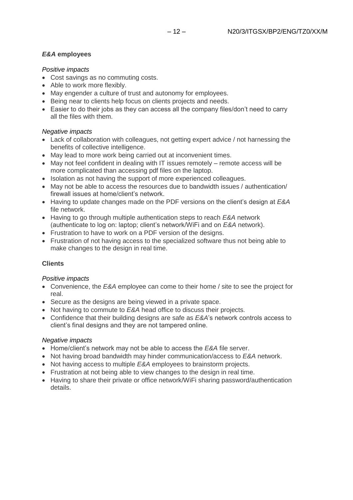## *E&A* **employees**

### *Positive impacts*

- Cost savings as no commuting costs.
- Able to work more flexibly.
- May engender a culture of trust and autonomy for employees.
- Being near to clients help focus on clients projects and needs.
- Easier to do their jobs as they can access all the company files/don't need to carry all the files with them.

## *Negative impacts*

- Lack of collaboration with colleagues, not getting expert advice / not harnessing the benefits of collective intelligence.
- May lead to more work being carried out at inconvenient times.
- May not feel confident in dealing with IT issues remotely remote access will be more complicated than accessing pdf files on the laptop.
- Isolation as not having the support of more experienced colleagues.
- May not be able to access the resources due to bandwidth issues / authentication/ firewall issues at home/client's network.
- Having to update changes made on the PDF versions on the client's design at *E&A* file network.
- Having to go through multiple authentication steps to reach *E&A* network (authenticate to log on: laptop; client's network/WiFi and on *E&A* network).
- Frustration to have to work on a PDF version of the designs.
- Frustration of not having access to the specialized software thus not being able to make changes to the design in real time.

#### **Clients**

#### *Positive impacts*

- Convenience, the *E&A* employee can come to their home / site to see the project for real.
- Secure as the designs are being viewed in a private space.
- Not having to commute to *E&A* head office to discuss their projects.
- Confidence that their building designs are safe as *E&A*'s network controls access to client's final designs and they are not tampered online.

#### *Negative impacts*

- Home/client's network may not be able to access the *E&A* file server.
- Not having broad bandwidth may hinder communication/access to *E&A* network.
- Not having access to multiple *E&A* employees to brainstorm projects.
- Frustration at not being able to view changes to the design in real time.
- Having to share their private or office network/WiFi sharing password/authentication details.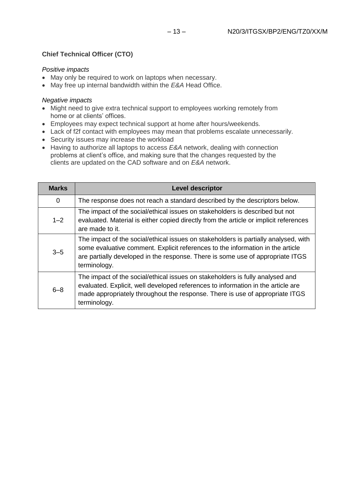#### *Positive impacts*

- May only be required to work on laptops when necessary.
- May free up internal bandwidth within the *E&A* Head Office.

#### *Negative impacts*

- Might need to give extra technical support to employees working remotely from home or at clients' offices.
- Employees may expect technical support at home after hours/weekends.
- Lack of f2f contact with employees may mean that problems escalate unnecessarily.
- Security issues may increase the workload
- Having to authorize all laptops to access *E&A* network, dealing with connection problems at client's office, and making sure that the changes requested by the clients are updated on the CAD software and on *E&A* network.

| <b>Marks</b> | <b>Level descriptor</b>                                                                                                                                                                                                                                                 |
|--------------|-------------------------------------------------------------------------------------------------------------------------------------------------------------------------------------------------------------------------------------------------------------------------|
| 0            | The response does not reach a standard described by the descriptors below.                                                                                                                                                                                              |
| $1 - 2$      | The impact of the social/ethical issues on stakeholders is described but not<br>evaluated. Material is either copied directly from the article or implicit references<br>are made to it.                                                                                |
| $3 - 5$      | The impact of the social/ethical issues on stakeholders is partially analysed, with<br>some evaluative comment. Explicit references to the information in the article<br>are partially developed in the response. There is some use of appropriate ITGS<br>terminology. |
| $6 - 8$      | The impact of the social/ethical issues on stakeholders is fully analysed and<br>evaluated. Explicit, well developed references to information in the article are<br>made appropriately throughout the response. There is use of appropriate ITGS<br>terminology.       |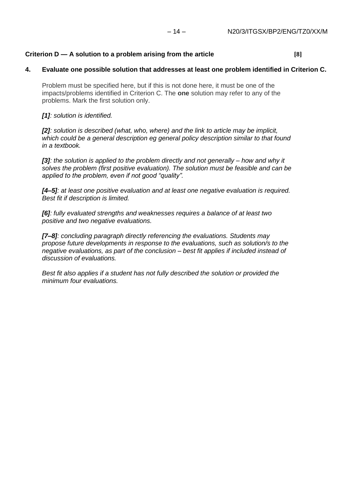#### **Criterion D — A solution to a problem arising from the article [8]**

#### **4. Evaluate one possible solution that addresses at least one problem identified in Criterion C.**

Problem must be specified here, but if this is not done here, it must be one of the impacts/problems identified in Criterion C. The **one** solution may refer to any of the problems. Mark the first solution only.

#### *[1]: solution is identified.*

*[2]: solution is described (what, who, where) and the link to article may be implicit, which could be a general description eg general policy description similar to that found in a textbook.*

*[3]: the solution is applied to the problem directly and not generally – how and why it solves the problem (first positive evaluation). The solution must be feasible and can be applied to the problem, even if not good "quality".*

*[4–5]: at least one positive evaluation and at least one negative evaluation is required. Best fit if description is limited.*

*[6]: fully evaluated strengths and weaknesses requires a balance of at least two positive and two negative evaluations.*

*[7–8]: concluding paragraph directly referencing the evaluations. Students may propose future developments in response to the evaluations, such as solution/s to the negative evaluations, as part of the conclusion – best fit applies if included instead of discussion of evaluations.*

*Best fit also applies if a student has not fully described the solution or provided the minimum four evaluations.*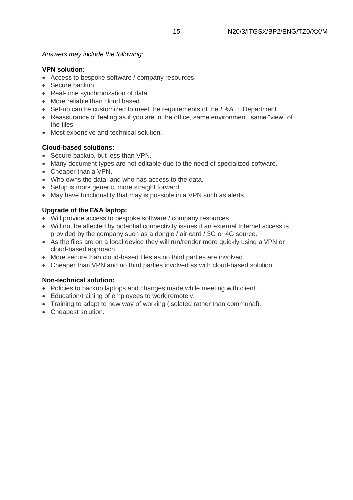## *Answers may include the following:*

## **VPN solution:**

- Access to bespoke software / company resources.
- Secure backup.
- Real-time synchronization of data.
- More reliable than cloud based.
- Set-up can be customized to meet the requirements of the *E&A* IT Department.
- Reassurance of feeling as if you are in the office, same environment, same "view" of the files.
- Most expensive and technical solution.

## **Cloud-based solutions:**

- Secure backup, but less than VPN.
- Many document types are not editable due to the need of specialized software.
- Cheaper than a VPN.
- Who owns the data, and who has access to the data.
- Setup is more generic, more straight forward.
- May have functionality that may is possible in a VPN such as alerts.

## **Upgrade of the E&A laptop:**

- Will provide access to bespoke software / company resources.
- Will not be affected by potential connectivity issues if an external Internet access is provided by the company such as a dongle / air card / 3G or 4G source.
- As the files are on a local device they will run/render more quickly using a VPN or cloud-based approach.
- More secure than cloud-based files as no third parties are involved.
- Cheaper than VPN and no third parties involved as with cloud-based solution.

## **Non-technical solution:**

- Policies to backup laptops and changes made while meeting with client.
- Education/training of employees to work remotely.
- Training to adapt to new way of working (isolated rather than communal).
- Cheapest solution.